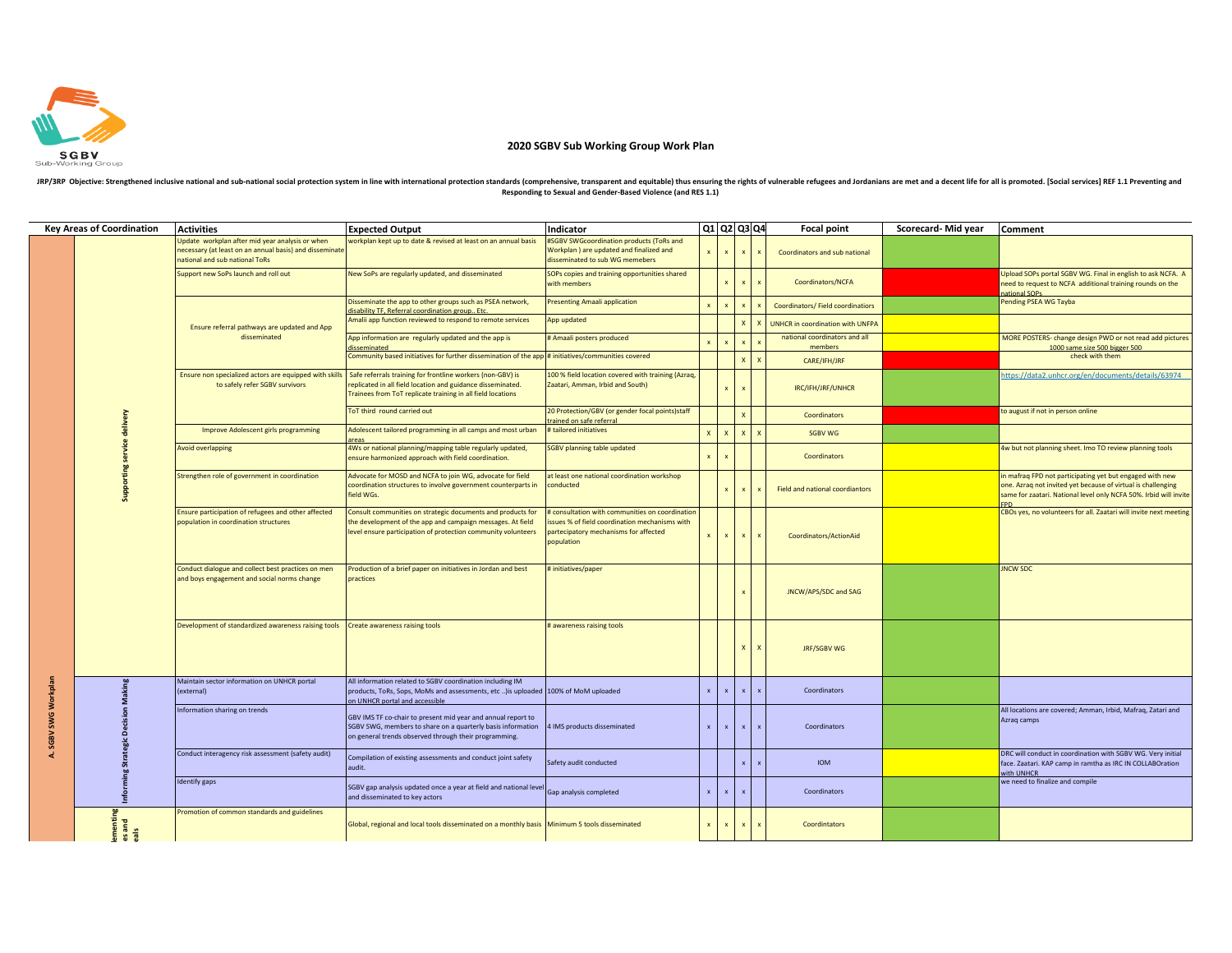

## **2020 SGBV Sub Working Group Work Plan**

JRP/3RP Objective: Strengthened inclusive national and sub-national social protection system in line with international protection standards (comprehensive, transparent and equitable) thus ensuring the rights of vulnerable

|              | <b>Key Areas of Coordination</b>   | <b>Activities</b>                                                                                                                            | <b>Expected Output</b>                                                                                                                                                                   | Indicator                                                                                                                                               |              | Q1 Q2 Q3 Q4               |              |   | Focal point                              | Scorecard-Mid year | Comment                                                                                                                                                                                      |
|--------------|------------------------------------|----------------------------------------------------------------------------------------------------------------------------------------------|------------------------------------------------------------------------------------------------------------------------------------------------------------------------------------------|---------------------------------------------------------------------------------------------------------------------------------------------------------|--------------|---------------------------|--------------|---|------------------------------------------|--------------------|----------------------------------------------------------------------------------------------------------------------------------------------------------------------------------------------|
|              |                                    | Update workplan after mid year analysis or when<br>necessary (at least on an annual basis) and disseminate<br>national and sub national ToRs | workplan kept up to date & revised at least on an annual basis                                                                                                                           | #SGBV SWGcoordination products (ToRs and<br>Workplan ) are updated and finalized and<br>disseminated to sub WG memebers                                 |              |                           |              |   | Coordinators and sub national            |                    |                                                                                                                                                                                              |
|              |                                    | Support new SoPs launch and roll out                                                                                                         | New SoPs are regularly updated, and disseminated                                                                                                                                         | SOPs copies and training opportunities shared<br>with members                                                                                           |              |                           |              |   | Coordinators/NCFA                        |                    | Upload SOPs portal SGBV WG. Final in english to ask NCFA. A<br>need to request to NCFA additional training rounds on the<br>ational SOP                                                      |
|              |                                    | Ensure referral pathways are updated and App<br>disseminated                                                                                 | Disseminate the app to other groups such as PSEA network,<br>lisability TF. Referral coordination group Etc.                                                                             | <b>Presenting Amaali application</b>                                                                                                                    |              | $\boldsymbol{\mathsf{x}}$ |              |   | Coordinators/Field coordinatiors         |                    | Pending PSEA WG Tayba                                                                                                                                                                        |
|              |                                    |                                                                                                                                              | Amalii app function reviewed to respond to remote services                                                                                                                               | App updated                                                                                                                                             |              |                           | $\mathsf{x}$ |   | <b>UNHCR</b> in coordination with UNFPA  |                    |                                                                                                                                                                                              |
|              |                                    |                                                                                                                                              | App information are regularly updated and the app is<br>disseminated                                                                                                                     | # Amaali posters produced                                                                                                                               |              |                           |              |   | national coordinators and all<br>members |                    | MORE POSTERS- change design PWD or not read add pictures<br>1000 same size 500 bigger 500                                                                                                    |
|              |                                    |                                                                                                                                              | Community based initiatives for further dissemination of the app # initiatives/communities covered                                                                                       |                                                                                                                                                         |              |                           | $\mathsf{x}$ |   | CARE/IFH/JRF                             |                    | check with them                                                                                                                                                                              |
|              |                                    | Ensure non specialized actors are equipped with skills<br>to safely refer SGBV survivors                                                     | Safe referrals training for frontline workers (non-GBV) is<br>replicated in all field location and guidance disseminated.<br>rainees from ToT replicate training in all field locations  | 100 % field location covered with training (Azraq,<br>Zaatari, Amman, Irbid and South)                                                                  |              |                           |              |   | IRC/IFH/JRF/UNHCR                        |                    | sttps://data2.unhcr.org/en/documents/details/63974                                                                                                                                           |
|              |                                    |                                                                                                                                              | ToT third round carried out                                                                                                                                                              | 20 Protection/GBV (or gender focal points)staff<br>ained on safe referra                                                                                |              |                           |              |   | Coordinators                             |                    | to august if not in person online                                                                                                                                                            |
|              |                                    | Improve Adolescent girls programming                                                                                                         | Adolescent tailored programming in all camps and most urban                                                                                                                              | # tailored initiatives                                                                                                                                  | $\mathbf{x}$ | $\mathsf{x}$              | $\mathbf{x}$ |   | <b>SGBV WG</b>                           |                    |                                                                                                                                                                                              |
|              | Supporting service delivery        | Avoid overlapping                                                                                                                            | 4Ws or national planning/mapping table regularly updated,<br>ensure harmonized approach with field coordination.                                                                         | <b>SGBV planning table updated</b>                                                                                                                      |              |                           |              |   | Coordinators                             |                    | 4w but not planning sheet. Imo TO review planning tools                                                                                                                                      |
|              |                                    | Strengthen role of government in coordination                                                                                                | Advocate for MOSD and NCFA to join WG, advocate for field<br>coordination structures to involve government counterparts in<br>ield WGs.                                                  | at least one national coordination workshop<br>conducted                                                                                                |              | $\boldsymbol{\mathsf{x}}$ |              |   | Field and national coordiantors          |                    | n mafraq FPD not participating yet but engaged with new<br>one. Azraq not invited yet because of virtual is challenging<br>same for zaatari. National level only NCFA 50%. Irbid will invite |
|              |                                    | Ensure participation of refugees and other affected<br>population in coordination structures                                                 | Consult communities on strategic documents and products for<br>he development of the app and campaign messages. At field<br>evel ensure participation of protection community volunteers | # consultation with communities on coordination<br>ssues % of field coordination mechanisms with<br>partecipatory mechanisms for affected<br>population |              |                           |              |   | Coordinators/ActionAid                   |                    | CBOs yes, no volunteers for all. Zaatari will invite next meeting                                                                                                                            |
|              |                                    | Conduct dialogue and collect best practices on men<br>and boys engagement and social norms change                                            | Production of a brief paper on initiatives in Jordan and best<br>practices                                                                                                               | # initiatives/paper                                                                                                                                     |              |                           |              |   | JNCW/APS/SDC and SAG                     |                    | <b>JNCW SDC</b>                                                                                                                                                                              |
|              |                                    | Development of standardized awareness raising tools                                                                                          | <b>Create awareness raising tools</b>                                                                                                                                                    | # awareness raising tools                                                                                                                               |              |                           |              | x | JRF/SGBV WG                              |                    |                                                                                                                                                                                              |
| SWG Workplan | Decision Making<br>ö,<br>Informing | Maintain sector information on UNHCR portal<br>(external)                                                                                    | All information related to SGBV coordination including IM<br>products, ToRs, Sops, MoMs and assessments, etc ) is uploaded 100% of MoM uploaded<br>on UNHCR portal and accessible        |                                                                                                                                                         | $\mathbf{x}$ | $\mathbf{v}$              |              |   | Coordinators                             |                    |                                                                                                                                                                                              |
| <b>SGRV</b>  |                                    | Information sharing on trends                                                                                                                | GBV IMS TF co-chair to present mid year and annual report to<br>SGBV SWG, members to share on a quarterly basis information<br>on general trends observed through their programming.     | 4 IMS products disseminated                                                                                                                             | $\mathbf x$  | $\mathbf{x}$              |              |   | Coordinators                             |                    | All locations are covered; Amman, Irbid, Mafraq, Zatari and<br>Azrag camps                                                                                                                   |
|              |                                    | Conduct interagency risk assessment (safety audit)                                                                                           | Compilation of existing assessments and conduct joint safety<br>audit.                                                                                                                   | Safety audit conducted                                                                                                                                  |              |                           |              |   | <b>IOM</b>                               |                    | DRC will conduct in coordination with SGBV WG. Very initial<br>face. Zaatari. KAP camp in ramtha as IRC IN COLLABOration<br>vith UNHCR                                                       |
|              |                                    | <b>Identify gaps</b>                                                                                                                         | SGBV gap analysis updated once a year at field and national level<br>and disseminated to key actors                                                                                      | Gap analysis completed                                                                                                                                  | $\mathbf{x}$ |                           |              |   | Coordinators                             |                    | we need to finalize and compile                                                                                                                                                              |
|              | nenting<br>and                     | Promotion of common standards and guidelines                                                                                                 | Global, regional and local tools disseminated on a monthly basis Minimum 5 tools disseminated                                                                                            |                                                                                                                                                         | $\mathbf{x}$ |                           |              |   | Coordintators                            |                    |                                                                                                                                                                                              |
|              |                                    |                                                                                                                                              |                                                                                                                                                                                          |                                                                                                                                                         |              |                           |              |   |                                          |                    |                                                                                                                                                                                              |